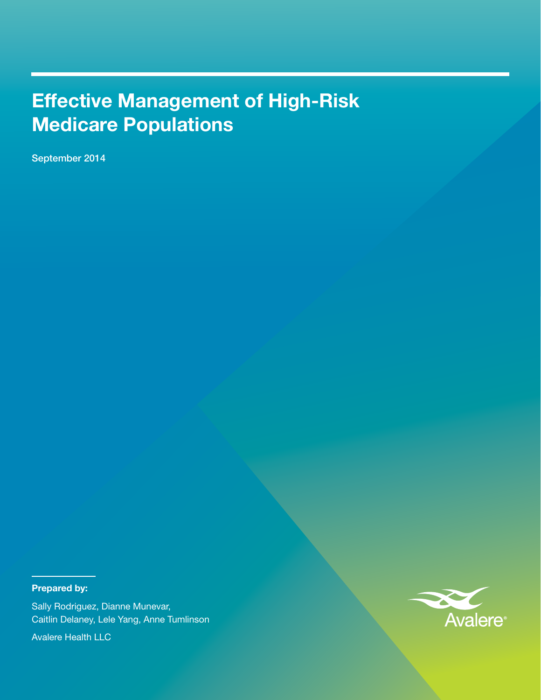# Effective Management of High-Risk Medicare Populations

September 2014

# Prepared by:

Sally Rodriguez, Dianne Munevar, Caitlin Delaney, Lele Yang, Anne Tumlinson

Avalere Health LLC

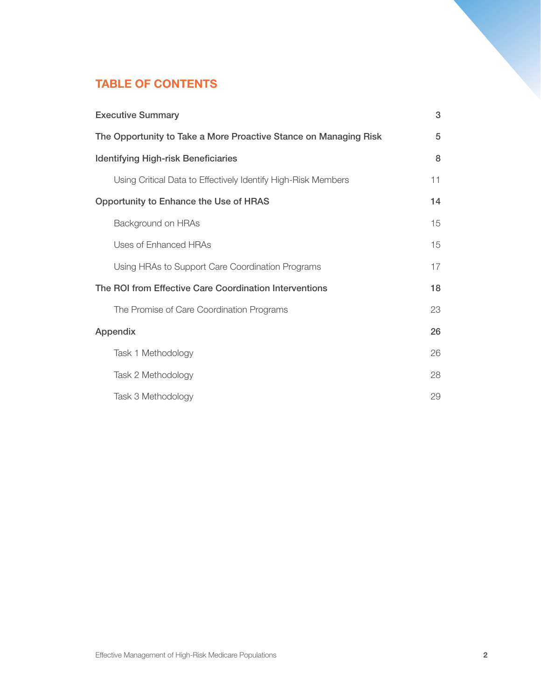# TABLE OF CONTENTS

| <b>Executive Summary</b>                                         | 3  |
|------------------------------------------------------------------|----|
| The Opportunity to Take a More Proactive Stance on Managing Risk | 5  |
| <b>Identifying High-risk Beneficiaries</b>                       | 8  |
| Using Critical Data to Effectively Identify High-Risk Members    | 11 |
| Opportunity to Enhance the Use of HRAS                           | 14 |
| Background on HRAs                                               | 15 |
| Uses of Enhanced HRAs                                            | 15 |
| Using HRAs to Support Care Coordination Programs                 | 17 |
| The ROI from Effective Care Coordination Interventions           | 18 |
| The Promise of Care Coordination Programs                        | 23 |
| Appendix                                                         | 26 |
| Task 1 Methodology                                               | 26 |
| Task 2 Methodology                                               | 28 |
| Task 3 Methodology                                               | 29 |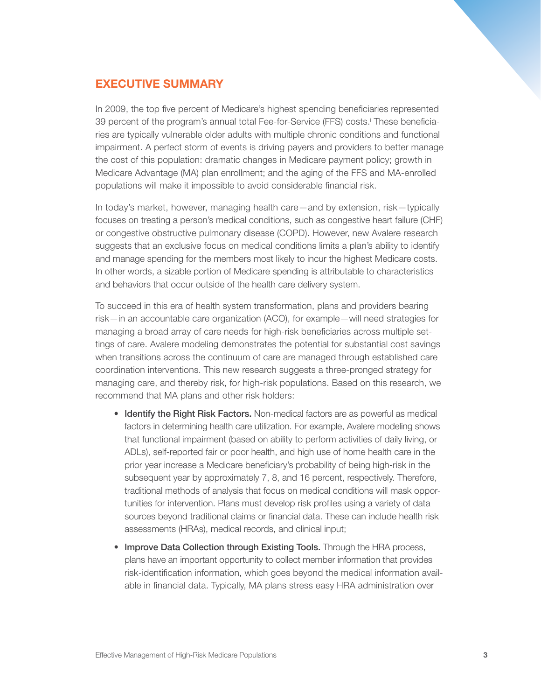# EXECUTIVE SUMMARY

In 2009, the top five percent of Medicare's highest spending beneficiaries represented 39 percent of the program's annual total Fee-for-Service (FFS) costs. These beneficiaries are typically vulnerable older adults with multiple chronic conditions and functional impairment. A perfect storm of events is driving payers and providers to better manage the cost of this population: dramatic changes in Medicare payment policy; growth in Medicare Advantage (MA) plan enrollment; and the aging of the FFS and MA-enrolled populations will make it impossible to avoid considerable financial risk.

In today's market, however, managing health care—and by extension, risk—typically focuses on treating a person's medical conditions, such as congestive heart failure (CHF) or congestive obstructive pulmonary disease (COPD). However, new Avalere research suggests that an exclusive focus on medical conditions limits a plan's ability to identify and manage spending for the members most likely to incur the highest Medicare costs. In other words, a sizable portion of Medicare spending is attributable to characteristics and behaviors that occur outside of the health care delivery system.

To succeed in this era of health system transformation, plans and providers bearing risk—in an accountable care organization (ACO), for example—will need strategies for managing a broad array of care needs for high-risk beneficiaries across multiple settings of care. Avalere modeling demonstrates the potential for substantial cost savings when transitions across the continuum of care are managed through established care coordination interventions. This new research suggests a three-pronged strategy for managing care, and thereby risk, for high-risk populations. Based on this research, we recommend that MA plans and other risk holders:

- Identify the Right Risk Factors. Non-medical factors are as powerful as medical factors in determining health care utilization. For example, Avalere modeling shows that functional impairment (based on ability to perform activities of daily living, or ADLs), self-reported fair or poor health, and high use of home health care in the prior year increase a Medicare beneficiary's probability of being high-risk in the subsequent year by approximately 7, 8, and 16 percent, respectively. Therefore, traditional methods of analysis that focus on medical conditions will mask opportunities for intervention. Plans must develop risk profiles using a variety of data sources beyond traditional claims or financial data. These can include health risk assessments (HRAs), medical records, and clinical input;
- Improve Data Collection through Existing Tools. Through the HRA process, plans have an important opportunity to collect member information that provides risk-identification information, which goes beyond the medical information available in financial data. Typically, MA plans stress easy HRA administration over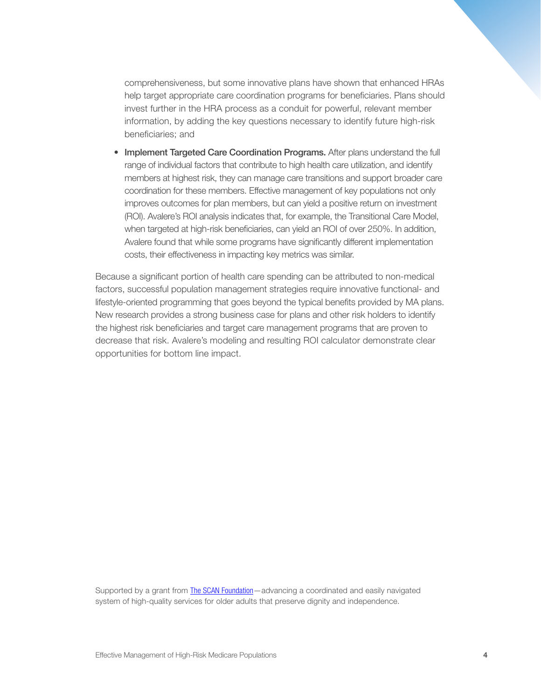comprehensiveness, but some innovative plans have shown that enhanced HRAs help target appropriate care coordination programs for beneficiaries. Plans should invest further in the HRA process as a conduit for powerful, relevant member information, by adding the key questions necessary to identify future high-risk beneficiaries; and

• Implement Targeted Care Coordination Programs. After plans understand the full range of individual factors that contribute to high health care utilization, and identify members at highest risk, they can manage care transitions and support broader care coordination for these members. Effective management of key populations not only improves outcomes for plan members, but can yield a positive return on investment (ROI). Avalere's ROI analysis indicates that, for example, the Transitional Care Model, when targeted at high-risk beneficiaries, can yield an ROI of over 250%. In addition, Avalere found that while some programs have significantly different implementation costs, their effectiveness in impacting key metrics was similar.

Because a significant portion of health care spending can be attributed to non-medical factors, successful population management strategies require innovative functional- and lifestyle-oriented programming that goes beyond the typical benefits provided by MA plans. New research provides a strong business case for plans and other risk holders to identify the highest risk beneficiaries and target care management programs that are proven to decrease that risk. Avalere's modeling and resulting ROI calculator demonstrate clear opportunities for bottom line impact.

Supported by a grant from [The SCAN Foundation](http://www.thescanfoundation.org)—advancing a coordinated and easily navigated system of high-quality services for older adults that preserve dignity and independence.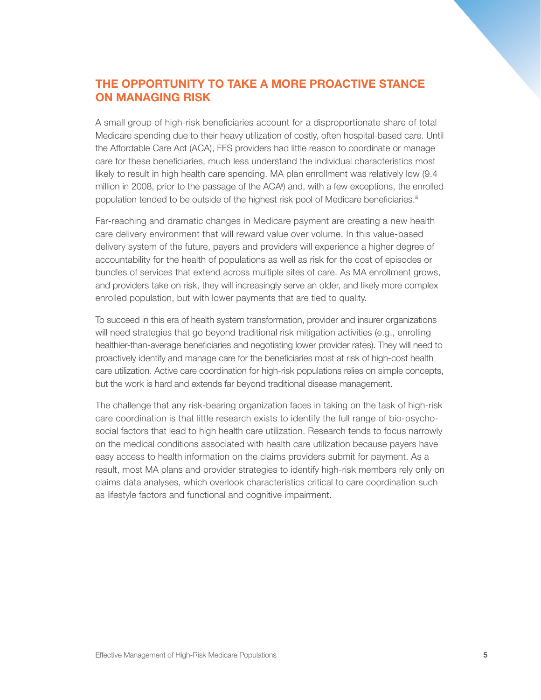# THE OPPORTUNITY TO TAKE A MORE PROACTIVE STANCE ON MANAGING RISK

A small group of high-risk beneficiaries account for a disproportionate share of total Medicare spending due to their heavy utilization of costly, often hospital-based care. Until the Affordable Care Act (ACA), FFS providers had little reason to coordinate or manage care for these beneficiaries, much less understand the individual characteristics most likely to result in high health care spending. MA plan enrollment was relatively low (9.4 million in 2008, prior to the passage of the  $ACA<sup>ii</sup>$  and, with a few exceptions, the enrolled population tended to be outside of the highest risk pool of Medicare beneficiaries.<sup>iii</sup>

Far-reaching and dramatic changes in Medicare payment are creating a new health care delivery environment that will reward value over volume. In this value-based delivery system of the future, payers and providers will experience a higher degree of accountability for the health of populations as well as risk for the cost of episodes or bundles of services that extend across multiple sites of care. As MA enrollment grows, and providers take on risk, they will increasingly serve an older, and likely more complex enrolled population, but with lower payments that are tied to quality.

To succeed in this era of health system transformation, provider and insurer organizations will need strategies that go beyond traditional risk mitigation activities (e.g., enrolling healthier-than-average beneficiaries and negotiating lower provider rates). They will need to proactively identify and manage care for the beneficiaries most at risk of high-cost health care utilization. Active care coordination for high-risk populations relies on simple concepts, but the work is hard and extends far beyond traditional disease management.

The challenge that any risk-bearing organization faces in taking on the task of high-risk care coordination is that little research exists to identify the full range of bio-psychosocial factors that lead to high health care utilization. Research tends to focus narrowly on the medical conditions associated with health care utilization because payers have easy access to health information on the claims providers submit for payment. As a result, most MA plans and provider strategies to identify high-risk members rely only on claims data analyses, which overlook characteristics critical to care coordination such as lifestyle factors and functional and cognitive impairment.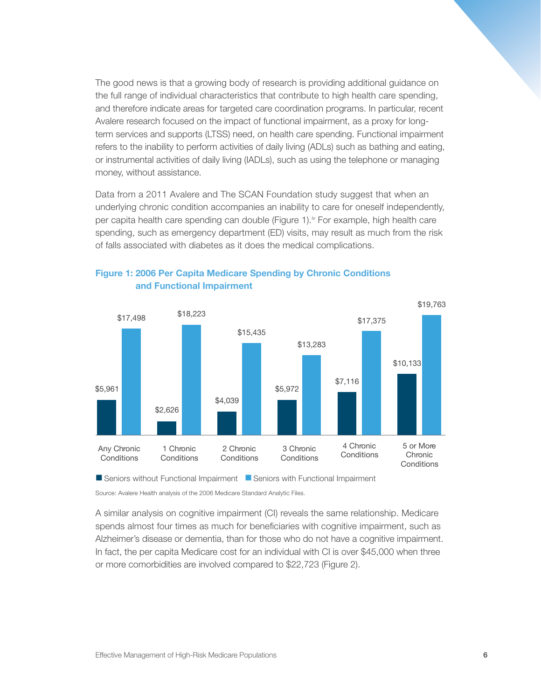The good news is that a growing body of research is providing additional guidance on the full range of individual characteristics that contribute to high health care spending, and therefore indicate areas for targeted care coordination programs. In particular, recent Avalere research focused on the impact of functional impairment, as a proxy for longterm services and supports (LTSS) need, on health care spending. Functional impairment refers to the inability to perform activities of daily living (ADLs) such as bathing and eating, or instrumental activities of daily living (IADLs), such as using the telephone or managing money, without assistance.

Data from a 2011 Avalere and The SCAN Foundation study suggest that when an underlying chronic condition accompanies an inability to care for oneself independently, per capita health care spending can double (Figure 1).<sup>iv</sup> For example, high health care spending, such as emergency department (ED) visits, may result as much from the risk of falls associated with diabetes as it does the medical complications.



Figure 1: 2006 Per Capita Medicare Spending by Chronic Conditions and Functional Impairment

■ Seniors without Functional Impairment ■ Seniors with Functional Impairment

Source: Avalere Health analysis of the 2006 Medicare Standard Analytic Files.

A similar analysis on cognitive impairment (CI) reveals the same relationship. Medicare spends almost four times as much for beneficiaries with cognitive impairment, such as Alzheimer's disease or dementia, than for those who do not have a cognitive impairment. In fact, the per capita Medicare cost for an individual with CI is over \$45,000 when three or more comorbidities are involved compared to \$22,723 (Figure 2).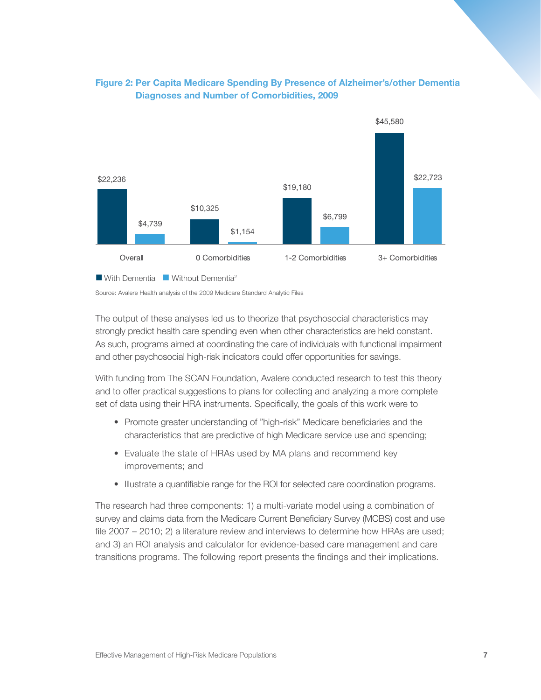

# Figure 2: Per Capita Medicare Spending By Presence of Alzheimer's/other Dementia Diagnoses and Number of Comorbidities, 2009

Source: Avalere Health analysis of the 2009 Medicare Standard Analytic Files

The output of these analyses led us to theorize that psychosocial characteristics may strongly predict health care spending even when other characteristics are held constant. As such, programs aimed at coordinating the care of individuals with functional impairment and other psychosocial high-risk indicators could offer opportunities for savings.

With funding from The SCAN Foundation, Avalere conducted research to test this theory and to offer practical suggestions to plans for collecting and analyzing a more complete set of data using their HRA instruments. Specifically, the goals of this work were to

- Promote greater understanding of "high-risk" Medicare beneficiaries and the characteristics that are predictive of high Medicare service use and spending;
- Evaluate the state of HRAs used by MA plans and recommend key improvements; and
- Illustrate a quantifiable range for the ROI for selected care coordination programs.

The research had three components: 1) a multi-variate model using a combination of survey and claims data from the Medicare Current Beneficiary Survey (MCBS) cost and use file 2007 – 2010; 2) a literature review and interviews to determine how HRAs are used; and 3) an ROI analysis and calculator for evidence-based care management and care transitions programs. The following report presents the findings and their implications.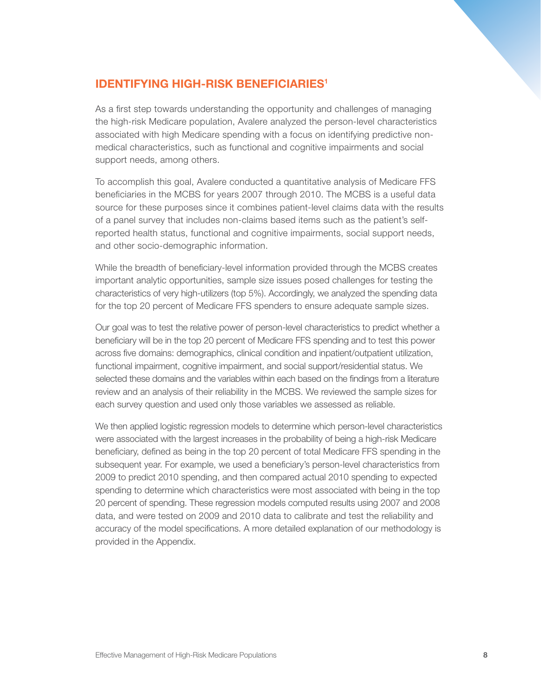# **IDENTIFYING HIGH-RISK BENEFICIARIES<sup>1</sup>**

As a first step towards understanding the opportunity and challenges of managing the high-risk Medicare population, Avalere analyzed the person-level characteristics associated with high Medicare spending with a focus on identifying predictive nonmedical characteristics, such as functional and cognitive impairments and social support needs, among others.

To accomplish this goal, Avalere conducted a quantitative analysis of Medicare FFS beneficiaries in the MCBS for years 2007 through 2010. The MCBS is a useful data source for these purposes since it combines patient-level claims data with the results of a panel survey that includes non-claims based items such as the patient's selfreported health status, functional and cognitive impairments, social support needs, and other socio-demographic information.

While the breadth of beneficiary-level information provided through the MCBS creates important analytic opportunities, sample size issues posed challenges for testing the characteristics of very high-utilizers (top 5%). Accordingly, we analyzed the spending data for the top 20 percent of Medicare FFS spenders to ensure adequate sample sizes.

Our goal was to test the relative power of person-level characteristics to predict whether a beneficiary will be in the top 20 percent of Medicare FFS spending and to test this power across five domains: demographics, clinical condition and inpatient/outpatient utilization, functional impairment, cognitive impairment, and social support/residential status. We selected these domains and the variables within each based on the findings from a literature review and an analysis of their reliability in the MCBS. We reviewed the sample sizes for each survey question and used only those variables we assessed as reliable.

We then applied logistic regression models to determine which person-level characteristics were associated with the largest increases in the probability of being a high-risk Medicare beneficiary, defined as being in the top 20 percent of total Medicare FFS spending in the subsequent year. For example, we used a beneficiary's person-level characteristics from 2009 to predict 2010 spending, and then compared actual 2010 spending to expected spending to determine which characteristics were most associated with being in the top 20 percent of spending. These regression models computed results using 2007 and 2008 data, and were tested on 2009 and 2010 data to calibrate and test the reliability and accuracy of the model specifications. A more detailed explanation of our methodology is provided in the Appendix.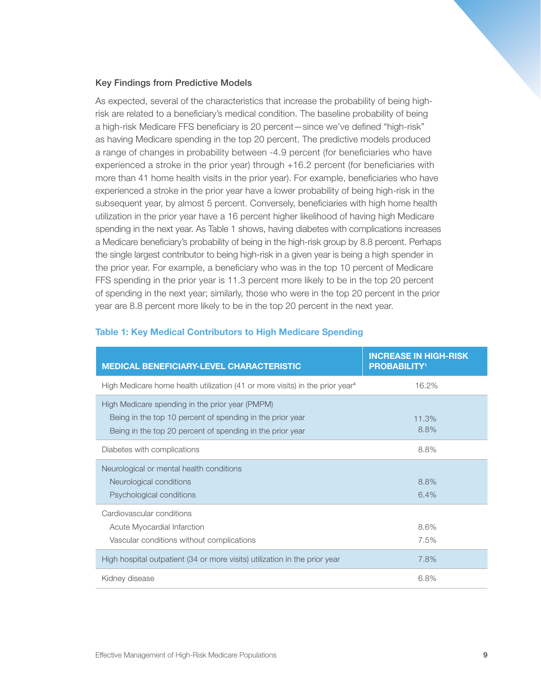### Key Findings from Predictive Models

As expected, several of the characteristics that increase the probability of being highrisk are related to a beneficiary's medical condition. The baseline probability of being a high-risk Medicare FFS beneficiary is 20 percent—since we've defined "high-risk" as having Medicare spending in the top 20 percent. The predictive models produced a range of changes in probability between -4.9 percent (for beneficiaries who have experienced a stroke in the prior year) through +16.2 percent (for beneficiaries with more than 41 home health visits in the prior year). For example, beneficiaries who have experienced a stroke in the prior year have a lower probability of being high-risk in the subsequent year, by almost 5 percent. Conversely, beneficiaries with high home health utilization in the prior year have a 16 percent higher likelihood of having high Medicare spending in the next year. As Table 1 shows, having diabetes with complications increases a Medicare beneficiary's probability of being in the high-risk group by 8.8 percent. Perhaps the single largest contributor to being high-risk in a given year is being a high spender in the prior year. For example, a beneficiary who was in the top 10 percent of Medicare FFS spending in the prior year is 11.3 percent more likely to be in the top 20 percent of spending in the next year; similarly, those who were in the top 20 percent in the prior year are 8.8 percent more likely to be in the top 20 percent in the next year.

| <b>MEDICAL BENEFICIARY-LEVEL CHARACTERISTIC</b>                                                                                                                           | <b>INCREASE IN HIGH-RISK</b><br><b>PROBABILITY<sup>1</sup></b> |
|---------------------------------------------------------------------------------------------------------------------------------------------------------------------------|----------------------------------------------------------------|
| High Medicare home health utilization (41 or more visits) in the prior year <sup>4</sup>                                                                                  | 16.2%                                                          |
| High Medicare spending in the prior year (PMPM)<br>Being in the top 10 percent of spending in the prior year<br>Being in the top 20 percent of spending in the prior year | 11.3%<br>8.8%                                                  |
| Diabetes with complications                                                                                                                                               | 8.8%                                                           |
| Neurological or mental health conditions<br>Neurological conditions<br>Psychological conditions                                                                           | 8.8%<br>6.4%                                                   |
| Cardiovascular conditions<br>Acute Myocardial Infarction<br>Vascular conditions without complications                                                                     | 8.6%<br>7.5%                                                   |
| High hospital outpatient (34 or more visits) utilization in the prior year                                                                                                | 7.8%                                                           |
| Kidney disease                                                                                                                                                            | 6.8%                                                           |

#### Table 1: Key Medical Contributors to High Medicare Spending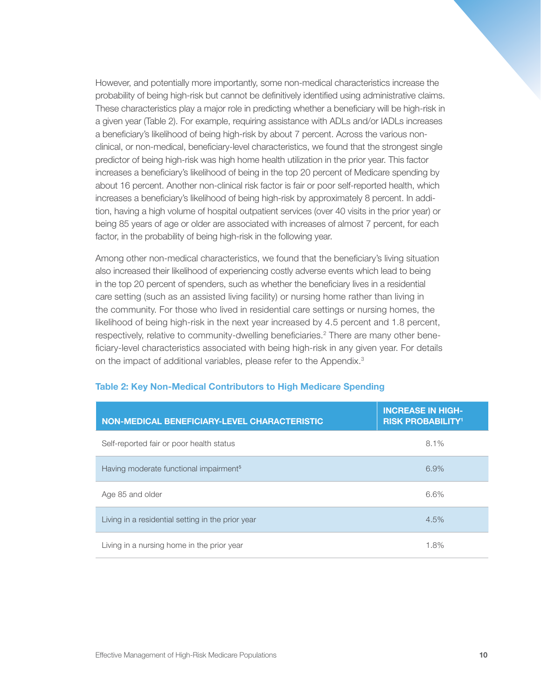However, and potentially more importantly, some non-medical characteristics increase the probability of being high-risk but cannot be definitively identified using administrative claims. These characteristics play a major role in predicting whether a beneficiary will be high-risk in a given year (Table 2). For example, requiring assistance with ADLs and/or IADLs increases a beneficiary's likelihood of being high-risk by about 7 percent. Across the various nonclinical, or non-medical, beneficiary-level characteristics, we found that the strongest single predictor of being high-risk was high home health utilization in the prior year. This factor increases a beneficiary's likelihood of being in the top 20 percent of Medicare spending by about 16 percent. Another non-clinical risk factor is fair or poor self-reported health, which increases a beneficiary's likelihood of being high-risk by approximately 8 percent. In addition, having a high volume of hospital outpatient services (over 40 visits in the prior year) or being 85 years of age or older are associated with increases of almost 7 percent, for each factor, in the probability of being high-risk in the following year.

Among other non-medical characteristics, we found that the beneficiary's living situation also increased their likelihood of experiencing costly adverse events which lead to being in the top 20 percent of spenders, such as whether the beneficiary lives in a residential care setting (such as an assisted living facility) or nursing home rather than living in the community. For those who lived in residential care settings or nursing homes, the likelihood of being high-risk in the next year increased by 4.5 percent and 1.8 percent, respectively, relative to community-dwelling beneficiaries.<sup>2</sup> There are many other beneficiary-level characteristics associated with being high-risk in any given year. For details on the impact of additional variables, please refer to the Appendix.<sup>3</sup>

| <b>NON-MEDICAL BENEFICIARY-LEVEL CHARACTERISTIC</b> | <b>INCREASE IN HIGH-</b><br><b>RISK PROBABILITY<sup>1</sup></b> |
|-----------------------------------------------------|-----------------------------------------------------------------|
| Self-reported fair or poor health status            | 8.1%                                                            |
| Having moderate functional impairment <sup>5</sup>  | 6.9%                                                            |
| Age 85 and older                                    | 6.6%                                                            |
| Living in a residential setting in the prior year   | 4.5%                                                            |
| Living in a nursing home in the prior year          | 1.8%                                                            |

#### Table 2: Key Non-Medical Contributors to High Medicare Spending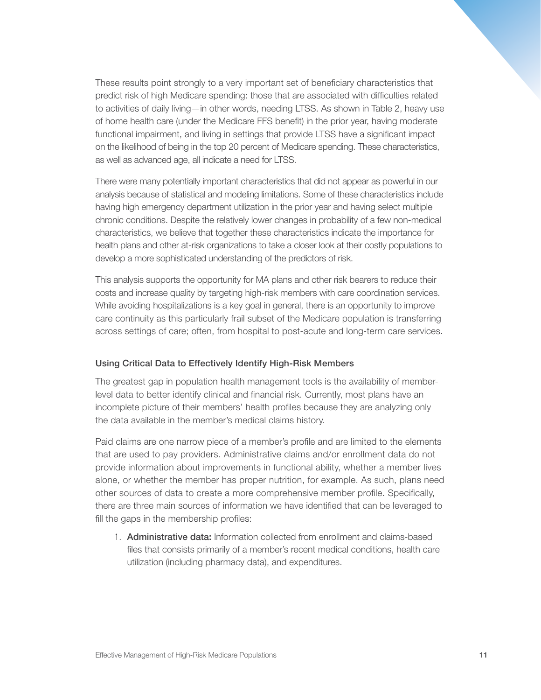These results point strongly to a very important set of beneficiary characteristics that predict risk of high Medicare spending: those that are associated with difficulties related to activities of daily living—in other words, needing LTSS. As shown in Table 2, heavy use of home health care (under the Medicare FFS benefit) in the prior year, having moderate functional impairment, and living in settings that provide LTSS have a significant impact on the likelihood of being in the top 20 percent of Medicare spending. These characteristics, as well as advanced age, all indicate a need for LTSS.

There were many potentially important characteristics that did not appear as powerful in our analysis because of statistical and modeling limitations. Some of these characteristics include having high emergency department utilization in the prior year and having select multiple chronic conditions. Despite the relatively lower changes in probability of a few non-medical characteristics, we believe that together these characteristics indicate the importance for health plans and other at-risk organizations to take a closer look at their costly populations to develop a more sophisticated understanding of the predictors of risk.

This analysis supports the opportunity for MA plans and other risk bearers to reduce their costs and increase quality by targeting high-risk members with care coordination services. While avoiding hospitalizations is a key goal in general, there is an opportunity to improve care continuity as this particularly frail subset of the Medicare population is transferring across settings of care; often, from hospital to post-acute and long-term care services.

#### Using Critical Data to Effectively Identify High-Risk Members

The greatest gap in population health management tools is the availability of memberlevel data to better identify clinical and financial risk. Currently, most plans have an incomplete picture of their members' health profiles because they are analyzing only the data available in the member's medical claims history.

Paid claims are one narrow piece of a member's profile and are limited to the elements that are used to pay providers. Administrative claims and/or enrollment data do not provide information about improvements in functional ability, whether a member lives alone, or whether the member has proper nutrition, for example. As such, plans need other sources of data to create a more comprehensive member profile. Specifically, there are three main sources of information we have identified that can be leveraged to fill the gaps in the membership profiles:

1. Administrative data: Information collected from enrollment and claims-based files that consists primarily of a member's recent medical conditions, health care utilization (including pharmacy data), and expenditures.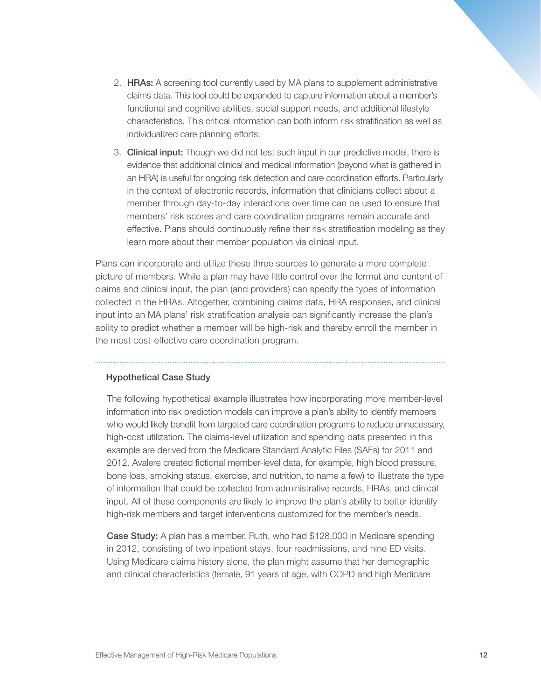- 2. **HRAs:** A screening tool currently used by MA plans to supplement administrative claims data. This tool could be expanded to capture information about a member's functional and cognitive abilities, social support needs, and additional lifestyle characteristics. This critical information can both inform risk stratification as well as individualized care planning efforts.
- 3. Clinical input: Though we did not test such input in our predictive model, there is evidence that additional clinical and medical information (beyond what is gathered in an HRA) is useful for ongoing risk detection and care coordination efforts. Particularly in the context of electronic records, information that clinicians collect about a member through day-to-day interactions over time can be used to ensure that members' risk scores and care coordination programs remain accurate and effective. Plans should continuously refine their risk stratification modeling as they learn more about their member population via clinical input.

Plans can incorporate and utilize these three sources to generate a more complete picture of members. While a plan may have little control over the format and content of claims and clinical input, the plan (and providers) can specify the types of information collected in the HRAs. Altogether, combining claims data, HRA responses, and clinical input into an MA plans' risk stratification analysis can significantly increase the plan's ability to predict whether a member will be high-risk and thereby enroll the member in the most cost-effective care coordination program.

#### Hypothetical Case Study

The following hypothetical example illustrates how incorporating more member-level information into risk prediction models can improve a plan's ability to identify members who would likely benefit from targeted care coordination programs to reduce unnecessary, high-cost utilization. The claims-level utilization and spending data presented in this example are derived from the Medicare Standard Analytic Files (SAFs) for 2011 and 2012. Avalere created fictional member-level data, for example, high blood pressure, bone loss, smoking status, exercise, and nutrition, to name a few) to illustrate the type of information that could be collected from administrative records, HRAs, and clinical input. All of these components are likely to improve the plan's ability to better identify high-risk members and target interventions customized for the member's needs.

Case Study: A plan has a member, Ruth, who had \$128,000 in Medicare spending in 2012, consisting of two inpatient stays, four readmissions, and nine ED visits. Using Medicare claims history alone, the plan might assume that her demographic and clinical characteristics (female, 91 years of age, with COPD and high Medicare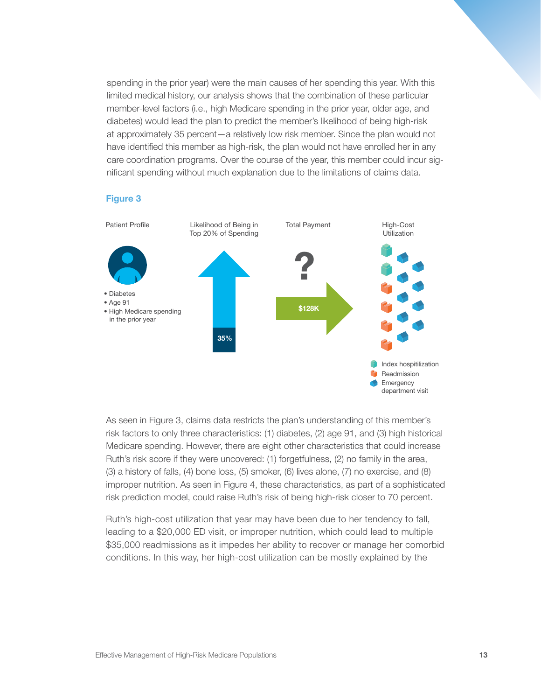spending in the prior year) were the main causes of her spending this year. With this limited medical history, our analysis shows that the combination of these particular member-level factors (i.e., high Medicare spending in the prior year, older age, and diabetes) would lead the plan to predict the member's likelihood of being high-risk at approximately 35 percent—a relatively low risk member. Since the plan would not have identified this member as high-risk, the plan would not have enrolled her in any care coordination programs. Over the course of the year, this member could incur significant spending without much explanation due to the limitations of claims data.

#### Figure 3



As seen in Figure 3, claims data restricts the plan's understanding of this member's risk factors to only three characteristics: (1) diabetes, (2) age 91, and (3) high historical Medicare spending. However, there are eight other characteristics that could increase Ruth's risk score if they were uncovered: (1) forgetfulness, (2) no family in the area, (3) a history of falls, (4) bone loss, (5) smoker, (6) lives alone, (7) no exercise, and (8) improper nutrition. As seen in Figure 4, these characteristics, as part of a sophisticated risk prediction model, could raise Ruth's risk of being high-risk closer to 70 percent.

Ruth's high-cost utilization that year may have been due to her tendency to fall, leading to a \$20,000 ED visit, or improper nutrition, which could lead to multiple \$35,000 readmissions as it impedes her ability to recover or manage her comorbid conditions. In this way, her high-cost utilization can be mostly explained by the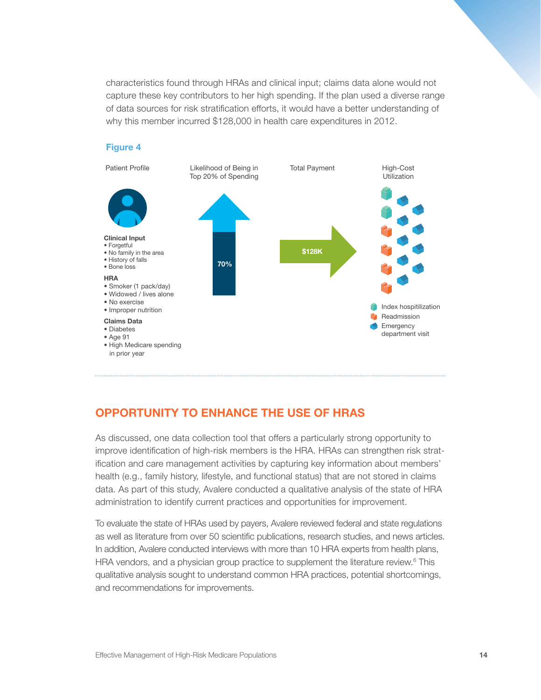characteristics found through HRAs and clinical input; claims data alone would not capture these key contributors to her high spending. If the plan used a diverse range of data sources for risk stratification efforts, it would have a better understanding of why this member incurred \$128,000 in health care expenditures in 2012.



# OPPORTUNITY TO ENHANCE THE USE OF HRAS

As discussed, one data collection tool that offers a particularly strong opportunity to improve identification of high-risk members is the HRA. HRAs can strengthen risk stratification and care management activities by capturing key information about members' health (e.g., family history, lifestyle, and functional status) that are not stored in claims data. As part of this study, Avalere conducted a qualitative analysis of the state of HRA administration to identify current practices and opportunities for improvement.

To evaluate the state of HRAs used by payers, Avalere reviewed federal and state regulations as well as literature from over 50 scientific publications, research studies, and news articles. In addition, Avalere conducted interviews with more than 10 HRA experts from health plans, HRA vendors, and a physician group practice to supplement the literature review.<sup>6</sup> This qualitative analysis sought to understand common HRA practices, potential shortcomings, and recommendations for improvements.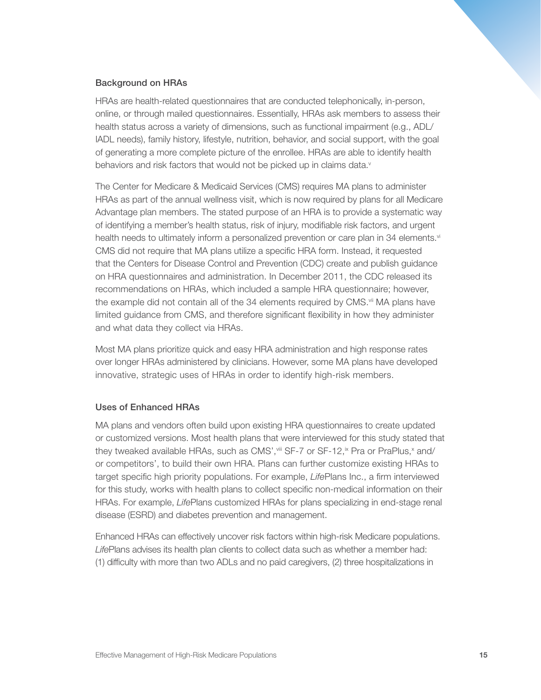### Background on HRAs

HRAs are health-related questionnaires that are conducted telephonically, in-person, online, or through mailed questionnaires. Essentially, HRAs ask members to assess their health status across a variety of dimensions, such as functional impairment (e.g., ADL/ IADL needs), family history, lifestyle, nutrition, behavior, and social support, with the goal of generating a more complete picture of the enrollee. HRAs are able to identify health behaviors and risk factors that would not be picked up in claims data.<sup>v</sup>

The Center for Medicare & Medicaid Services (CMS) requires MA plans to administer HRAs as part of the annual wellness visit, which is now required by plans for all Medicare Advantage plan members. The stated purpose of an HRA is to provide a systematic way of identifying a member's health status, risk of injury, modifiable risk factors, and urgent health needs to ultimately inform a personalized prevention or care plan in 34 elements.<sup>vi</sup> CMS did not require that MA plans utilize a specific HRA form. Instead, it requested that the Centers for Disease Control and Prevention (CDC) create and publish guidance on HRA questionnaires and administration. In December 2011, the CDC released its recommendations on HRAs, which included a sample HRA questionnaire; however, the example did not contain all of the 34 elements required by CMS.<sup>vii</sup> MA plans have limited guidance from CMS, and therefore significant flexibility in how they administer and what data they collect via HRAs.

Most MA plans prioritize quick and easy HRA administration and high response rates over longer HRAs administered by clinicians. However, some MA plans have developed innovative, strategic uses of HRAs in order to identify high-risk members.

# Uses of Enhanced HRAs

MA plans and vendors often build upon existing HRA questionnaires to create updated or customized versions. Most health plans that were interviewed for this study stated that they tweaked available HRAs, such as CMS', wiii SF-7 or SF-12, ix Pra or PraPlus, x and/ or competitors', to build their own HRA. Plans can further customize existing HRAs to target specific high priority populations. For example, *Life*Plans Inc., a firm interviewed for this study, works with health plans to collect specific non-medical information on their HRAs. For example, *Life*Plans customized HRAs for plans specializing in end-stage renal disease (ESRD) and diabetes prevention and management.

Enhanced HRAs can effectively uncover risk factors within high-risk Medicare populations. *Life*Plans advises its health plan clients to collect data such as whether a member had: (1) difficulty with more than two ADLs and no paid caregivers, (2) three hospitalizations in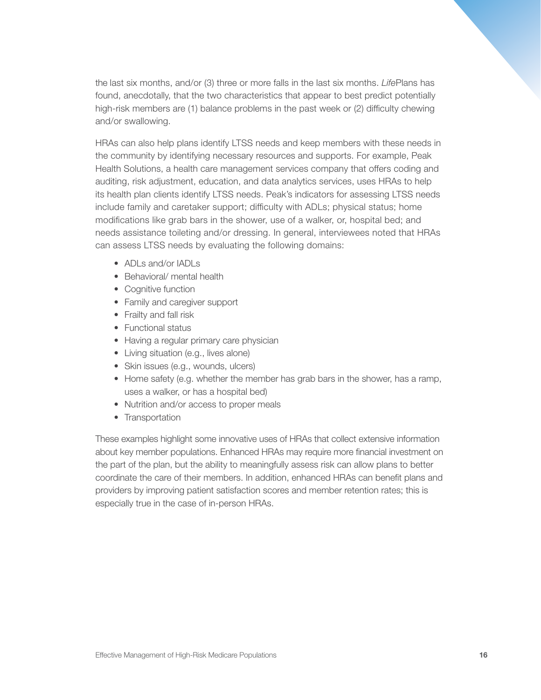the last six months, and/or (3) three or more falls in the last six months. *Life*Plans has found, anecdotally, that the two characteristics that appear to best predict potentially high-risk members are (1) balance problems in the past week or (2) difficulty chewing and/or swallowing.

HRAs can also help plans identify LTSS needs and keep members with these needs in the community by identifying necessary resources and supports. For example, Peak Health Solutions, a health care management services company that offers coding and auditing, risk adjustment, education, and data analytics services, uses HRAs to help its health plan clients identify LTSS needs. Peak's indicators for assessing LTSS needs include family and caretaker support; difficulty with ADLs; physical status; home modifications like grab bars in the shower, use of a walker, or, hospital bed; and needs assistance toileting and/or dressing. In general, interviewees noted that HRAs can assess LTSS needs by evaluating the following domains:

- ADLs and/or IADLs
- Behavioral/ mental health
- Cognitive function
- Family and caregiver support
- Frailty and fall risk
- Functional status
- Having a regular primary care physician
- Living situation (e.g., lives alone)
- Skin issues (e.g., wounds, ulcers)
- Home safety (e.g. whether the member has grab bars in the shower, has a ramp, uses a walker, or has a hospital bed)
- Nutrition and/or access to proper meals
- Transportation

These examples highlight some innovative uses of HRAs that collect extensive information about key member populations. Enhanced HRAs may require more financial investment on the part of the plan, but the ability to meaningfully assess risk can allow plans to better coordinate the care of their members. In addition, enhanced HRAs can benefit plans and providers by improving patient satisfaction scores and member retention rates; this is especially true in the case of in-person HRAs.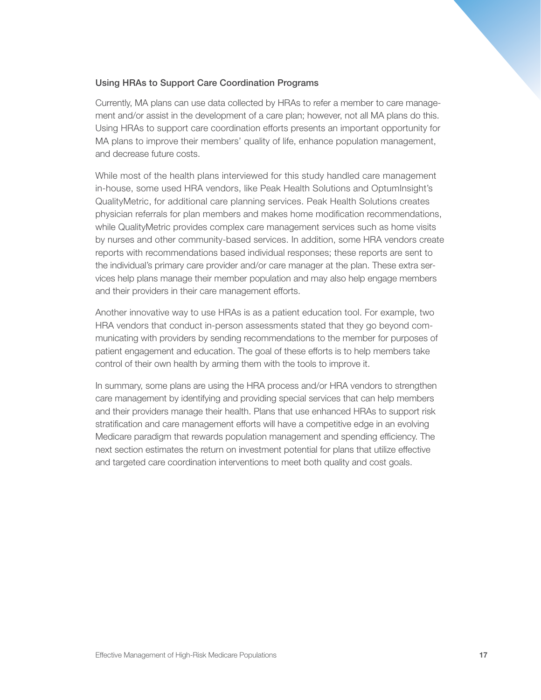# Using HRAs to Support Care Coordination Programs

Currently, MA plans can use data collected by HRAs to refer a member to care management and/or assist in the development of a care plan; however, not all MA plans do this. Using HRAs to support care coordination efforts presents an important opportunity for MA plans to improve their members' quality of life, enhance population management, and decrease future costs.

While most of the health plans interviewed for this study handled care management in-house, some used HRA vendors, like Peak Health Solutions and OptumInsight's QualityMetric, for additional care planning services. Peak Health Solutions creates physician referrals for plan members and makes home modification recommendations, while QualityMetric provides complex care management services such as home visits by nurses and other community-based services. In addition, some HRA vendors create reports with recommendations based individual responses; these reports are sent to the individual's primary care provider and/or care manager at the plan. These extra services help plans manage their member population and may also help engage members and their providers in their care management efforts.

Another innovative way to use HRAs is as a patient education tool. For example, two HRA vendors that conduct in-person assessments stated that they go beyond communicating with providers by sending recommendations to the member for purposes of patient engagement and education. The goal of these efforts is to help members take control of their own health by arming them with the tools to improve it.

In summary, some plans are using the HRA process and/or HRA vendors to strengthen care management by identifying and providing special services that can help members and their providers manage their health. Plans that use enhanced HRAs to support risk stratification and care management efforts will have a competitive edge in an evolving Medicare paradigm that rewards population management and spending efficiency. The next section estimates the return on investment potential for plans that utilize effective and targeted care coordination interventions to meet both quality and cost goals.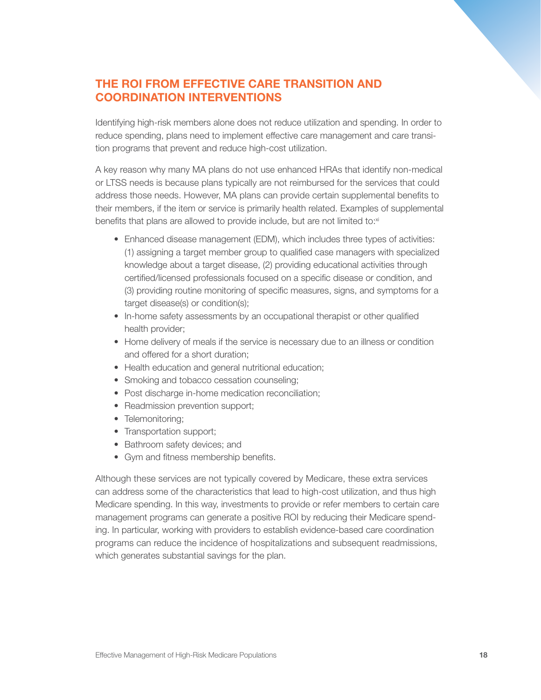# THE ROI FROM EFFECTIVE CARE TRANSITION AND COORDINATION INTERVENTIONS

Identifying high-risk members alone does not reduce utilization and spending. In order to reduce spending, plans need to implement effective care management and care transition programs that prevent and reduce high-cost utilization.

A key reason why many MA plans do not use enhanced HRAs that identify non-medical or LTSS needs is because plans typically are not reimbursed for the services that could address those needs. However, MA plans can provide certain supplemental benefits to their members, if the item or service is primarily health related. Examples of supplemental benefits that plans are allowed to provide include, but are not limited to:xi

- Enhanced disease management (EDM), which includes three types of activities: (1) assigning a target member group to qualified case managers with specialized knowledge about a target disease, (2) providing educational activities through certified/licensed professionals focused on a specific disease or condition, and (3) providing routine monitoring of specific measures, signs, and symptoms for a target disease(s) or condition(s);
- In-home safety assessments by an occupational therapist or other qualified health provider;
- Home delivery of meals if the service is necessary due to an illness or condition and offered for a short duration;
- Health education and general nutritional education;
- Smoking and tobacco cessation counseling;
- Post discharge in-home medication reconciliation;
- Readmission prevention support;
- Telemonitoring;
- Transportation support;
- Bathroom safety devices; and
- Gym and fitness membership benefits.

Although these services are not typically covered by Medicare, these extra services can address some of the characteristics that lead to high-cost utilization, and thus high Medicare spending. In this way, investments to provide or refer members to certain care management programs can generate a positive ROI by reducing their Medicare spending. In particular, working with providers to establish evidence-based care coordination programs can reduce the incidence of hospitalizations and subsequent readmissions, which generates substantial savings for the plan.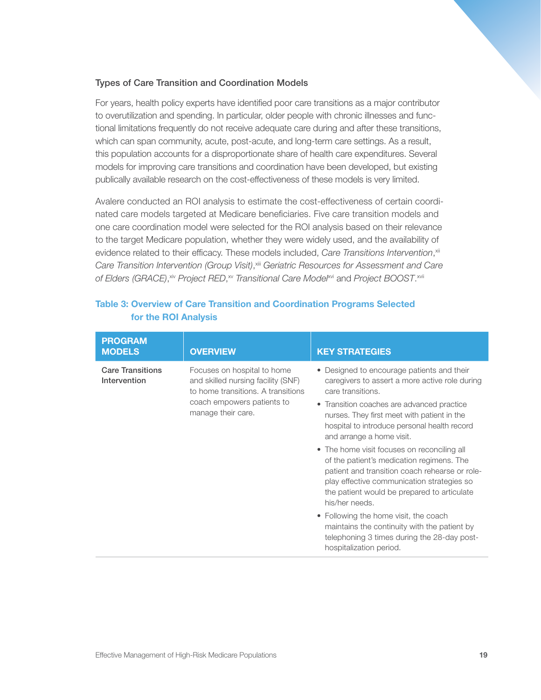# Types of Care Transition and Coordination Models

For years, health policy experts have identified poor care transitions as a major contributor to overutilization and spending. In particular, older people with chronic illnesses and functional limitations frequently do not receive adequate care during and after these transitions, which can span community, acute, post-acute, and long-term care settings. As a result, this population accounts for a disproportionate share of health care expenditures. Several models for improving care transitions and coordination have been developed, but existing publically available research on the cost-effectiveness of these models is very limited.

Avalere conducted an ROI analysis to estimate the cost-effectiveness of certain coordinated care models targeted at Medicare beneficiaries. Five care transition models and one care coordination model were selected for the ROI analysis based on their relevance to the target Medicare population, whether they were widely used, and the availability of evidence related to their efficacy. These models included, *Care Transitions Intervention*,<sup>xii</sup> *Care Transition Intervention (Group Visit)*, xiii *Geriatric Resources for Assessment and Care*  of Elders (GRACE), <sup>xiv</sup> Project RED, <sup>xv</sup> Transitional Care Model<sup>xvi</sup> and Project BOOST. <sup>xvii</sup>

| <b>PROGRAM</b><br><b>MODELS</b>                                                                                                                                                                        | <b>OVERVIEW</b>                                                                                                                                                                                                                                           | <b>KEY STRATEGIES</b>                                                                                                                                           |
|--------------------------------------------------------------------------------------------------------------------------------------------------------------------------------------------------------|-----------------------------------------------------------------------------------------------------------------------------------------------------------------------------------------------------------------------------------------------------------|-----------------------------------------------------------------------------------------------------------------------------------------------------------------|
| <b>Care Transitions</b><br>Focuses on hospital to home<br>Intervention<br>and skilled nursing facility (SNF)<br>to home transitions. A transitions<br>coach empowers patients to<br>manage their care. |                                                                                                                                                                                                                                                           | • Designed to encourage patients and their<br>caregivers to assert a more active role during<br>care transitions.                                               |
|                                                                                                                                                                                                        | • Transition coaches are advanced practice<br>nurses. They first meet with patient in the<br>hospital to introduce personal health record<br>and arrange a home visit.                                                                                    |                                                                                                                                                                 |
|                                                                                                                                                                                                        | • The home visit focuses on reconciling all<br>of the patient's medication regimens. The<br>patient and transition coach rehearse or role-<br>play effective communication strategies so<br>the patient would be prepared to articulate<br>his/her needs. |                                                                                                                                                                 |
|                                                                                                                                                                                                        |                                                                                                                                                                                                                                                           | • Following the home visit, the coach<br>maintains the continuity with the patient by<br>telephoning 3 times during the 28-day post-<br>hospitalization period. |

# Table 3: Overview of Care Transition and Coordination Programs Selected for the ROI Analysis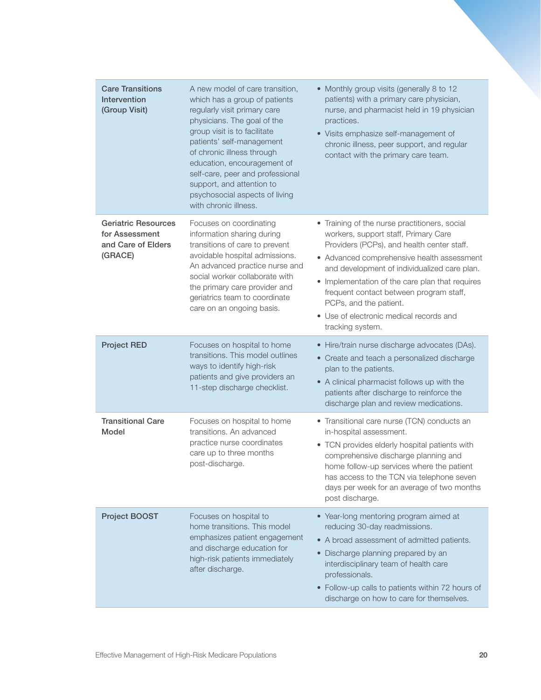| <b>Care Transitions</b><br>Intervention<br>(Group Visit)                      | A new model of care transition,<br>which has a group of patients<br>regularly visit primary care<br>physicians. The goal of the<br>group visit is to facilitate<br>patients' self-management<br>of chronic illness through<br>education, encouragement of<br>self-care, peer and professional<br>support, and attention to<br>psychosocial aspects of living<br>with chronic illness. | • Monthly group visits (generally 8 to 12<br>patients) with a primary care physician,<br>nurse, and pharmacist held in 19 physician<br>practices.<br>• Visits emphasize self-management of<br>chronic illness, peer support, and regular<br>contact with the primary care team.                                                                                                                                          |
|-------------------------------------------------------------------------------|---------------------------------------------------------------------------------------------------------------------------------------------------------------------------------------------------------------------------------------------------------------------------------------------------------------------------------------------------------------------------------------|--------------------------------------------------------------------------------------------------------------------------------------------------------------------------------------------------------------------------------------------------------------------------------------------------------------------------------------------------------------------------------------------------------------------------|
| <b>Geriatric Resources</b><br>for Assessment<br>and Care of Elders<br>(GRACE) | Focuses on coordinating<br>information sharing during<br>transitions of care to prevent<br>avoidable hospital admissions.<br>An advanced practice nurse and<br>social worker collaborate with<br>the primary care provider and<br>geriatrics team to coordinate<br>care on an ongoing basis.                                                                                          | • Training of the nurse practitioners, social<br>workers, support staff, Primary Care<br>Providers (PCPs), and health center staff.<br>• Advanced comprehensive health assessment<br>and development of individualized care plan.<br>• Implementation of the care plan that requires<br>frequent contact between program staff,<br>PCPs, and the patient.<br>• Use of electronic medical records and<br>tracking system. |
| <b>Project RED</b>                                                            | Focuses on hospital to home<br>transitions. This model outlines<br>ways to identify high-risk<br>patients and give providers an<br>11-step discharge checklist.                                                                                                                                                                                                                       | • Hire/train nurse discharge advocates (DAs).<br>• Create and teach a personalized discharge<br>plan to the patients.<br>• A clinical pharmacist follows up with the<br>patients after discharge to reinforce the<br>discharge plan and review medications.                                                                                                                                                              |
| <b>Transitional Care</b><br>Model                                             | Focuses on hospital to home<br>transitions. An advanced<br>practice nurse coordinates<br>care up to three months<br>post-discharge.                                                                                                                                                                                                                                                   | • Transitional care nurse (TCN) conducts an<br>in-hospital assessment.<br>• TCN provides elderly hospital patients with<br>comprehensive discharge planning and<br>home follow-up services where the patient<br>has access to the TCN via telephone seven<br>days per week for an average of two months<br>post discharge.                                                                                               |
| Project BOOST                                                                 | Focuses on hospital to<br>home transitions. This model<br>emphasizes patient engagement<br>and discharge education for<br>high-risk patients immediately<br>after discharge.                                                                                                                                                                                                          | • Year-long mentoring program aimed at<br>reducing 30-day readmissions.<br>• A broad assessment of admitted patients.<br>• Discharge planning prepared by an<br>interdisciplinary team of health care<br>professionals.<br>• Follow-up calls to patients within 72 hours of<br>discharge on how to care for themselves.                                                                                                  |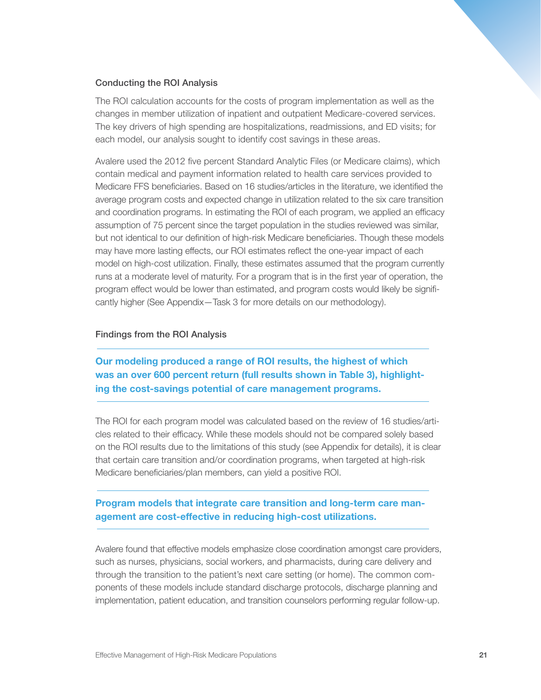#### Conducting the ROI Analysis

The ROI calculation accounts for the costs of program implementation as well as the changes in member utilization of inpatient and outpatient Medicare-covered services. The key drivers of high spending are hospitalizations, readmissions, and ED visits; for each model, our analysis sought to identify cost savings in these areas.

Avalere used the 2012 five percent Standard Analytic Files (or Medicare claims), which contain medical and payment information related to health care services provided to Medicare FFS beneficiaries. Based on 16 studies/articles in the literature, we identified the average program costs and expected change in utilization related to the six care transition and coordination programs. In estimating the ROI of each program, we applied an efficacy assumption of 75 percent since the target population in the studies reviewed was similar, but not identical to our definition of high-risk Medicare beneficiaries. Though these models may have more lasting effects, our ROI estimates reflect the one-year impact of each model on high-cost utilization. Finally, these estimates assumed that the program currently runs at a moderate level of maturity. For a program that is in the first year of operation, the program effect would be lower than estimated, and program costs would likely be significantly higher (See Appendix—Task 3 for more details on our methodology).

#### Findings from the ROI Analysis

Our modeling produced a range of ROI results, the highest of which was an over 600 percent return (full results shown in Table 3), highlighting the cost-savings potential of care management programs.

The ROI for each program model was calculated based on the review of 16 studies/articles related to their efficacy. While these models should not be compared solely based on the ROI results due to the limitations of this study (see Appendix for details), it is clear that certain care transition and/or coordination programs, when targeted at high-risk Medicare beneficiaries/plan members, can yield a positive ROI.

# Program models that integrate care transition and long-term care management are cost-effective in reducing high-cost utilizations.

Avalere found that effective models emphasize close coordination amongst care providers, such as nurses, physicians, social workers, and pharmacists, during care delivery and through the transition to the patient's next care setting (or home). The common components of these models include standard discharge protocols, discharge planning and implementation, patient education, and transition counselors performing regular follow-up.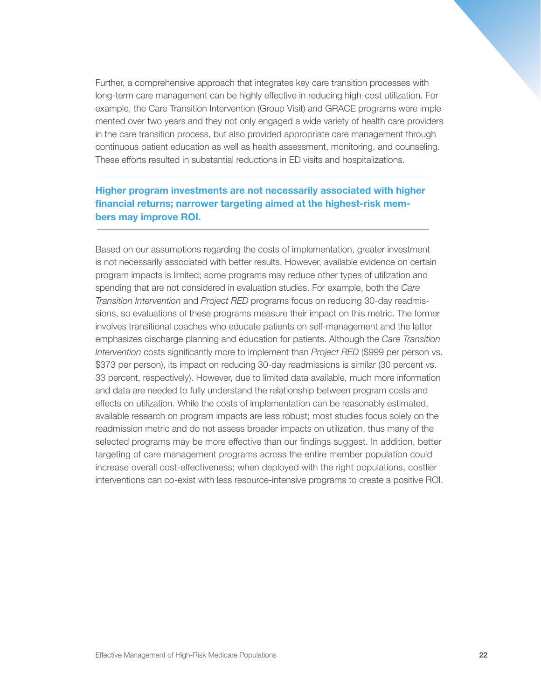Further, a comprehensive approach that integrates key care transition processes with long-term care management can be highly effective in reducing high-cost utilization. For example, the Care Transition Intervention (Group Visit) and GRACE programs were implemented over two years and they not only engaged a wide variety of health care providers in the care transition process, but also provided appropriate care management through continuous patient education as well as health assessment, monitoring, and counseling. These efforts resulted in substantial reductions in ED visits and hospitalizations.

# Higher program investments are not necessarily associated with higher financial returns; narrower targeting aimed at the highest-risk members may improve ROI.

Based on our assumptions regarding the costs of implementation, greater investment is not necessarily associated with better results. However, available evidence on certain program impacts is limited; some programs may reduce other types of utilization and spending that are not considered in evaluation studies. For example, both the *Care Transition Intervention* and *Project RED* programs focus on reducing 30-day readmissions, so evaluations of these programs measure their impact on this metric. The former involves transitional coaches who educate patients on self-management and the latter emphasizes discharge planning and education for patients. Although the *Care Transition Intervention* costs significantly more to implement than *Project RED* (\$999 per person vs. \$373 per person), its impact on reducing 30-day readmissions is similar (30 percent vs. 33 percent, respectively). However, due to limited data available, much more information and data are needed to fully understand the relationship between program costs and effects on utilization. While the costs of implementation can be reasonably estimated, available research on program impacts are less robust; most studies focus solely on the readmission metric and do not assess broader impacts on utilization, thus many of the selected programs may be more effective than our findings suggest. In addition, better targeting of care management programs across the entire member population could increase overall cost-effectiveness; when deployed with the right populations, costlier interventions can co-exist with less resource-intensive programs to create a positive ROI.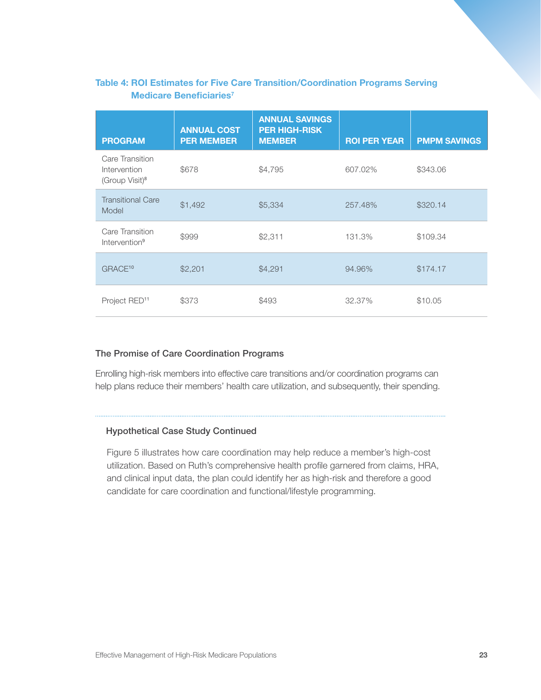# Table 4: ROI Estimates for Five Care Transition/Coordination Programs Serving Medicare Beneficiaries<sup>7</sup>

| <b>PROGRAM</b>                                                | <b>ANNUAL COST</b><br><b>PER MEMBER</b> | <b>ANNUAL SAVINGS</b><br><b>PER HIGH-RISK</b><br><b>MEMBER</b> | <b>ROI PER YEAR</b> | <b>PMPM SAVINGS</b> |
|---------------------------------------------------------------|-----------------------------------------|----------------------------------------------------------------|---------------------|---------------------|
| Care Transition<br>Intervention<br>(Group Visit) <sup>8</sup> | \$678                                   | \$4,795                                                        | 607.02%             | \$343.06            |
| <b>Transitional Care</b><br>Model                             | \$1,492                                 | \$5,334                                                        | 257.48%             | \$320.14            |
| Care Transition<br>Intervention <sup>9</sup>                  | \$999                                   | \$2,311                                                        | 131.3%              | \$109.34            |
| GRACE <sup>10</sup>                                           | \$2,201                                 | \$4,291                                                        | 94.96%              | \$174.17            |
| Project RED <sup>11</sup>                                     | \$373                                   | \$493                                                          | 32.37%              | \$10.05             |

### The Promise of Care Coordination Programs

Enrolling high-risk members into effective care transitions and/or coordination programs can help plans reduce their members' health care utilization, and subsequently, their spending.

#### Hypothetical Case Study Continued

Figure 5 illustrates how care coordination may help reduce a member's high-cost utilization. Based on Ruth's comprehensive health profile garnered from claims, HRA, and clinical input data, the plan could identify her as high-risk and therefore a good candidate for care coordination and functional/lifestyle programming.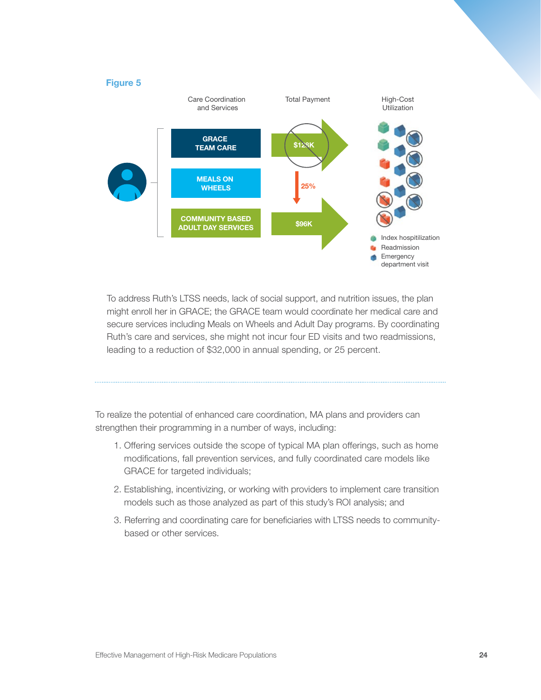

To address Ruth's LTSS needs, lack of social support, and nutrition issues, the plan might enroll her in GRACE; the GRACE team would coordinate her medical care and secure services including Meals on Wheels and Adult Day programs. By coordinating Ruth's care and services, she might not incur four ED visits and two readmissions, leading to a reduction of \$32,000 in annual spending, or 25 percent.

To realize the potential of enhanced care coordination, MA plans and providers can strengthen their programming in a number of ways, including:

- 1. Offering services outside the scope of typical MA plan offerings, such as home modifications, fall prevention services, and fully coordinated care models like GRACE for targeted individuals;
- 2. Establishing, incentivizing, or working with providers to implement care transition models such as those analyzed as part of this study's ROI analysis; and
- 3. Referring and coordinating care for beneficiaries with LTSS needs to communitybased or other services.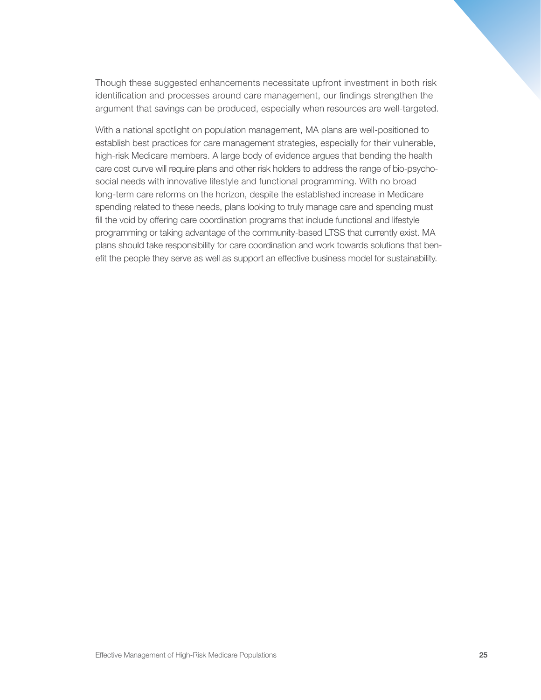Though these suggested enhancements necessitate upfront investment in both risk identification and processes around care management, our findings strengthen the argument that savings can be produced, especially when resources are well-targeted.

With a national spotlight on population management, MA plans are well-positioned to establish best practices for care management strategies, especially for their vulnerable, high-risk Medicare members. A large body of evidence argues that bending the health care cost curve will require plans and other risk holders to address the range of bio-psychosocial needs with innovative lifestyle and functional programming. With no broad long-term care reforms on the horizon, despite the established increase in Medicare spending related to these needs, plans looking to truly manage care and spending must fill the void by offering care coordination programs that include functional and lifestyle programming or taking advantage of the community-based LTSS that currently exist. MA plans should take responsibility for care coordination and work towards solutions that benefit the people they serve as well as support an effective business model for sustainability.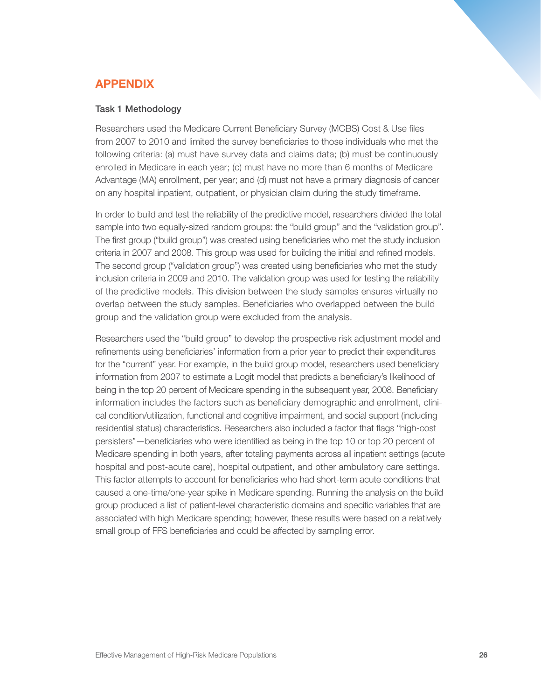# APPENDIX

#### Task 1 Methodology

Researchers used the Medicare Current Beneficiary Survey (MCBS) Cost & Use files from 2007 to 2010 and limited the survey beneficiaries to those individuals who met the following criteria: (a) must have survey data and claims data; (b) must be continuously enrolled in Medicare in each year; (c) must have no more than 6 months of Medicare Advantage (MA) enrollment, per year; and (d) must not have a primary diagnosis of cancer on any hospital inpatient, outpatient, or physician claim during the study timeframe.

In order to build and test the reliability of the predictive model, researchers divided the total sample into two equally-sized random groups: the "build group" and the "validation group". The first group ("build group") was created using beneficiaries who met the study inclusion criteria in 2007 and 2008. This group was used for building the initial and refined models. The second group ("validation group") was created using beneficiaries who met the study inclusion criteria in 2009 and 2010. The validation group was used for testing the reliability of the predictive models. This division between the study samples ensures virtually no overlap between the study samples. Beneficiaries who overlapped between the build group and the validation group were excluded from the analysis.

Researchers used the "build group" to develop the prospective risk adjustment model and refinements using beneficiaries' information from a prior year to predict their expenditures for the "current" year. For example, in the build group model, researchers used beneficiary information from 2007 to estimate a Logit model that predicts a beneficiary's likelihood of being in the top 20 percent of Medicare spending in the subsequent year, 2008. Beneficiary information includes the factors such as beneficiary demographic and enrollment, clinical condition/utilization, functional and cognitive impairment, and social support (including residential status) characteristics. Researchers also included a factor that flags "high-cost persisters"—beneficiaries who were identified as being in the top 10 or top 20 percent of Medicare spending in both years, after totaling payments across all inpatient settings (acute hospital and post-acute care), hospital outpatient, and other ambulatory care settings. This factor attempts to account for beneficiaries who had short-term acute conditions that caused a one-time/one-year spike in Medicare spending. Running the analysis on the build group produced a list of patient-level characteristic domains and specific variables that are associated with high Medicare spending; however, these results were based on a relatively small group of FFS beneficiaries and could be affected by sampling error.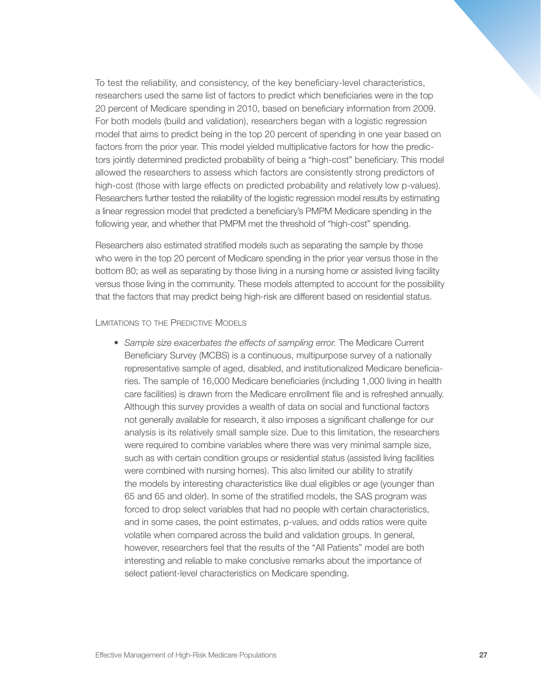To test the reliability, and consistency, of the key beneficiary-level characteristics, researchers used the same list of factors to predict which beneficiaries were in the top 20 percent of Medicare spending in 2010, based on beneficiary information from 2009. For both models (build and validation), researchers began with a logistic regression model that aims to predict being in the top 20 percent of spending in one year based on factors from the prior year. This model yielded multiplicative factors for how the predictors jointly determined predicted probability of being a "high-cost" beneficiary. This model allowed the researchers to assess which factors are consistently strong predictors of high-cost (those with large effects on predicted probability and relatively low p-values). Researchers further tested the reliability of the logistic regression model results by estimating a linear regression model that predicted a beneficiary's PMPM Medicare spending in the following year, and whether that PMPM met the threshold of "high-cost" spending.

Researchers also estimated stratified models such as separating the sample by those who were in the top 20 percent of Medicare spending in the prior year versus those in the bottom 80; as well as separating by those living in a nursing home or assisted living facility versus those living in the community. These models attempted to account for the possibility that the factors that may predict being high-risk are different based on residential status.

### LIMITATIONS TO THE PREDICTIVE MODELS

• *Sample size exacerbates the effects of sampling error.* The Medicare Current Beneficiary Survey (MCBS) is a continuous, multipurpose survey of a nationally representative sample of aged, disabled, and institutionalized Medicare beneficiaries. The sample of 16,000 Medicare beneficiaries (including 1,000 living in health care facilities) is drawn from the Medicare enrollment file and is refreshed annually. Although this survey provides a wealth of data on social and functional factors not generally available for research, it also imposes a significant challenge for our analysis is its relatively small sample size. Due to this limitation, the researchers were required to combine variables where there was very minimal sample size, such as with certain condition groups or residential status (assisted living facilities were combined with nursing homes). This also limited our ability to stratify the models by interesting characteristics like dual eligibles or age (younger than 65 and 65 and older). In some of the stratified models, the SAS program was forced to drop select variables that had no people with certain characteristics, and in some cases, the point estimates, p-values, and odds ratios were quite volatile when compared across the build and validation groups. In general, however, researchers feel that the results of the "All Patients" model are both interesting and reliable to make conclusive remarks about the importance of select patient-level characteristics on Medicare spending.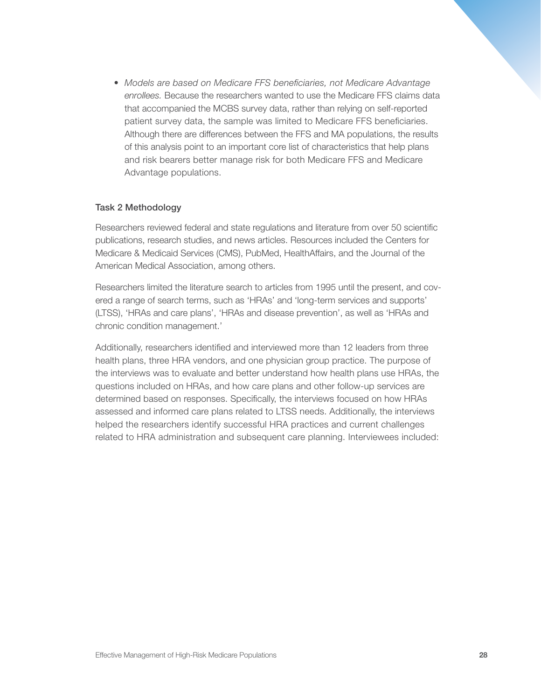• *Models are based on Medicare FFS beneficiaries, not Medicare Advantage enrollees.* Because the researchers wanted to use the Medicare FFS claims data that accompanied the MCBS survey data, rather than relying on self-reported patient survey data, the sample was limited to Medicare FFS beneficiaries. Although there are differences between the FFS and MA populations, the results of this analysis point to an important core list of characteristics that help plans and risk bearers better manage risk for both Medicare FFS and Medicare Advantage populations.

#### Task 2 Methodology

Researchers reviewed federal and state regulations and literature from over 50 scientific publications, research studies, and news articles. Resources included the Centers for Medicare & Medicaid Services (CMS), PubMed, HealthAffairs, and the Journal of the American Medical Association, among others.

Researchers limited the literature search to articles from 1995 until the present, and covered a range of search terms, such as 'HRAs' and 'long-term services and supports' (LTSS), 'HRAs and care plans', 'HRAs and disease prevention', as well as 'HRAs and chronic condition management.'

Additionally, researchers identified and interviewed more than 12 leaders from three health plans, three HRA vendors, and one physician group practice. The purpose of the interviews was to evaluate and better understand how health plans use HRAs, the questions included on HRAs, and how care plans and other follow-up services are determined based on responses. Specifically, the interviews focused on how HRAs assessed and informed care plans related to LTSS needs. Additionally, the interviews helped the researchers identify successful HRA practices and current challenges related to HRA administration and subsequent care planning. Interviewees included: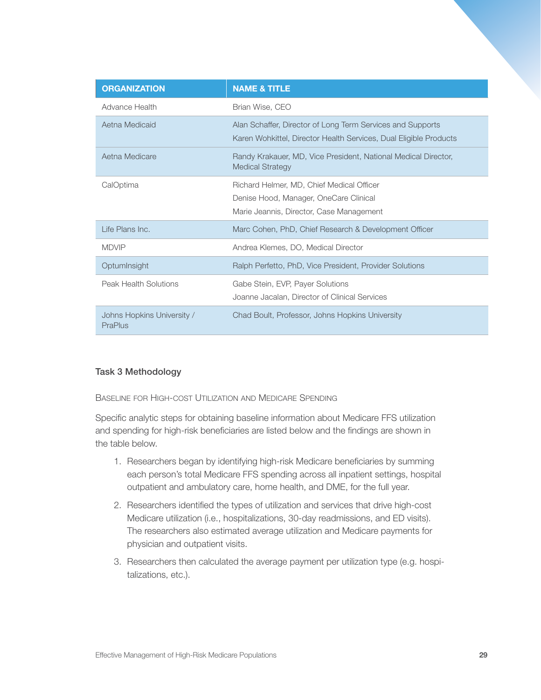| <b>ORGANIZATION</b>                   | <b>NAME &amp; TITLE</b>                                                                                                         |
|---------------------------------------|---------------------------------------------------------------------------------------------------------------------------------|
| Advance Health                        | Brian Wise, CEO                                                                                                                 |
| Aetna Medicaid                        | Alan Schaffer, Director of Long Term Services and Supports<br>Karen Wohkittel, Director Health Services, Dual Eligible Products |
| Aetna Medicare                        | Randy Krakauer, MD, Vice President, National Medical Director,<br><b>Medical Strategy</b>                                       |
| CalOptima                             | Richard Helmer, MD, Chief Medical Officer<br>Denise Hood, Manager, OneCare Clinical<br>Marie Jeannis, Director, Case Management |
| Life Plans Inc.                       | Marc Cohen, PhD, Chief Research & Development Officer                                                                           |
| <b>MDVIP</b>                          | Andrea Klemes, DO, Medical Director                                                                                             |
| OptumInsight                          | Ralph Perfetto, PhD, Vice President, Provider Solutions                                                                         |
| Peak Health Solutions                 | Gabe Stein, EVP, Payer Solutions<br>Joanne Jacalan, Director of Clinical Services                                               |
| Johns Hopkins University /<br>PraPlus | Chad Boult, Professor, Johns Hopkins University                                                                                 |

# Task 3 Methodology

Baseline for High-cost Utilization and Medicare Spending

Specific analytic steps for obtaining baseline information about Medicare FFS utilization and spending for high-risk beneficiaries are listed below and the findings are shown in the table below.

- 1. Researchers began by identifying high-risk Medicare beneficiaries by summing each person's total Medicare FFS spending across all inpatient settings, hospital outpatient and ambulatory care, home health, and DME, for the full year.
- 2. Researchers identified the types of utilization and services that drive high-cost Medicare utilization (i.e., hospitalizations, 30-day readmissions, and ED visits). The researchers also estimated average utilization and Medicare payments for physician and outpatient visits.
- 3. Researchers then calculated the average payment per utilization type (e.g. hospitalizations, etc.).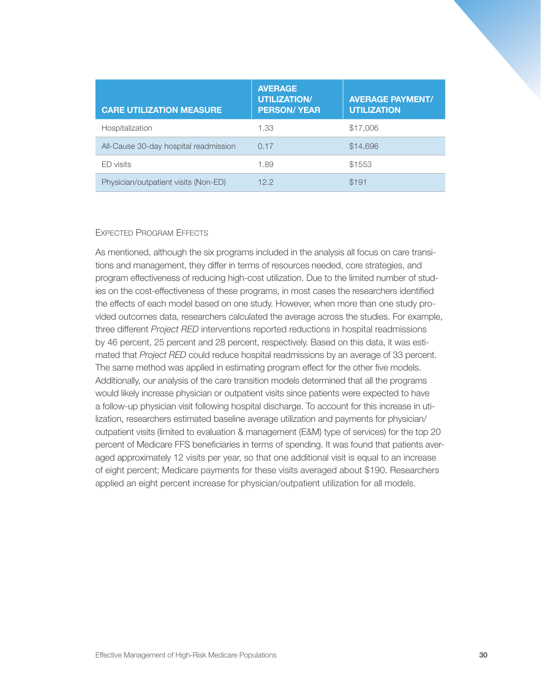| <b>CARE UTILIZATION MEASURE</b>       | <b>AVERAGE</b><br><b>UTILIZATION/</b><br><b>PERSON/ YEAR</b> | <b>AVERAGE PAYMENT/</b><br><b>UTILIZATION</b> |
|---------------------------------------|--------------------------------------------------------------|-----------------------------------------------|
| Hospitalization                       | 1.33                                                         | \$17,006                                      |
| All-Cause 30-day hospital readmission | 0.17                                                         | \$14,696                                      |
| ED visits                             | 1.89                                                         | \$1553                                        |
| Physician/outpatient visits (Non-ED)  | 122                                                          | \$191                                         |

#### Expected Program Effects

As mentioned, although the six programs included in the analysis all focus on care transitions and management, they differ in terms of resources needed, core strategies, and program effectiveness of reducing high-cost utilization. Due to the limited number of studies on the cost-effectiveness of these programs, in most cases the researchers identified the effects of each model based on one study. However, when more than one study provided outcomes data, researchers calculated the average across the studies. For example, three different *Project RED* interventions reported reductions in hospital readmissions by 46 percent, 25 percent and 28 percent, respectively. Based on this data, it was estimated that *Project RED* could reduce hospital readmissions by an average of 33 percent. The same method was applied in estimating program effect for the other five models. Additionally, our analysis of the care transition models determined that all the programs would likely increase physician or outpatient visits since patients were expected to have a follow-up physician visit following hospital discharge. To account for this increase in utilization, researchers estimated baseline average utilization and payments for physician/ outpatient visits (limited to evaluation & management (E&M) type of services) for the top 20 percent of Medicare FFS beneficiaries in terms of spending. It was found that patients averaged approximately 12 visits per year, so that one additional visit is equal to an increase of eight percent; Medicare payments for these visits averaged about \$190. Researchers applied an eight percent increase for physician/outpatient utilization for all models.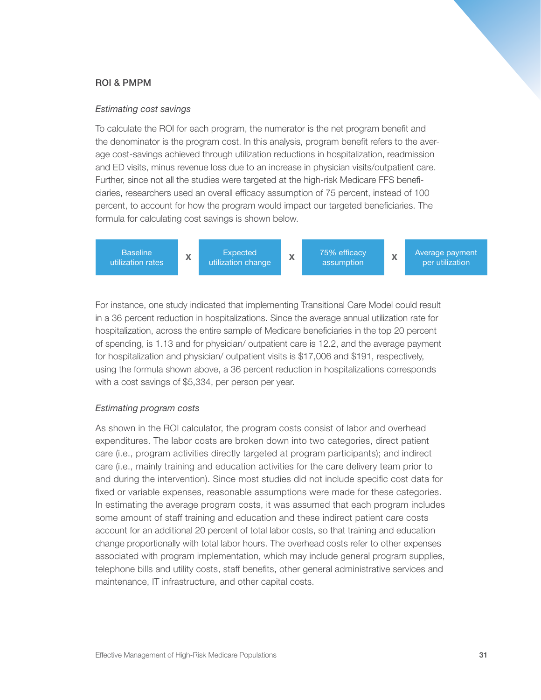# ROI & PMPM

#### *Estimating cost savings*

To calculate the ROI for each program, the numerator is the net program benefit and the denominator is the program cost. In this analysis, program benefit refers to the average cost-savings achieved through utilization reductions in hospitalization, readmission and ED visits, minus revenue loss due to an increase in physician visits/outpatient care. Further, since not all the studies were targeted at the high-risk Medicare FFS beneficiaries, researchers used an overall efficacy assumption of 75 percent, instead of 100 percent, to account for how the program would impact our targeted beneficiaries. The formula for calculating cost savings is shown below.

**Baseline** Baseline **X** Expected **X** 75% efficacy **X** utilization change **X** assumption **X** assumption **Expected** Average payment per utilization

For instance, one study indicated that implementing Transitional Care Model could result in a 36 percent reduction in hospitalizations. Since the average annual utilization rate for hospitalization, across the entire sample of Medicare beneficiaries in the top 20 percent of spending, is 1.13 and for physician/ outpatient care is 12.2, and the average payment for hospitalization and physician/ outpatient visits is \$17,006 and \$191, respectively, using the formula shown above, a 36 percent reduction in hospitalizations corresponds with a cost savings of \$5,334, per person per year.

# *Estimating program costs*

As shown in the ROI calculator, the program costs consist of labor and overhead expenditures. The labor costs are broken down into two categories, direct patient care (i.e., program activities directly targeted at program participants); and indirect care (i.e., mainly training and education activities for the care delivery team prior to and during the intervention). Since most studies did not include specific cost data for fixed or variable expenses, reasonable assumptions were made for these categories. In estimating the average program costs, it was assumed that each program includes some amount of staff training and education and these indirect patient care costs account for an additional 20 percent of total labor costs, so that training and education change proportionally with total labor hours. The overhead costs refer to other expenses associated with program implementation, which may include general program supplies, telephone bills and utility costs, staff benefits, other general administrative services and maintenance, IT infrastructure, and other capital costs.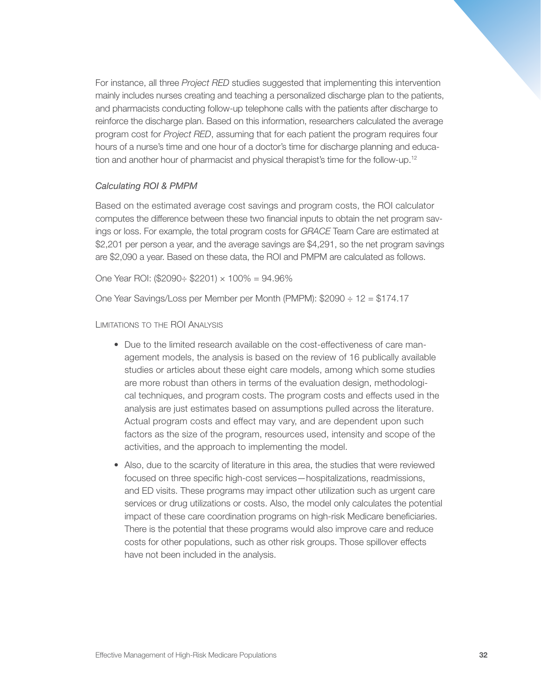For instance, all three *Project RED* studies suggested that implementing this intervention mainly includes nurses creating and teaching a personalized discharge plan to the patients, and pharmacists conducting follow-up telephone calls with the patients after discharge to reinforce the discharge plan. Based on this information, researchers calculated the average program cost for *Project RED*, assuming that for each patient the program requires four hours of a nurse's time and one hour of a doctor's time for discharge planning and education and another hour of pharmacist and physical therapist's time for the follow-up.<sup>12</sup>

#### *Calculating ROI & PMPM*

Based on the estimated average cost savings and program costs, the ROI calculator computes the difference between these two financial inputs to obtain the net program savings or loss. For example, the total program costs for *GRACE* Team Care are estimated at \$2,201 per person a year, and the average savings are \$4,291, so the net program savings are \$2,090 a year. Based on these data, the ROI and PMPM are calculated as follows.

One Year ROI: (\$2090÷ \$2201)  $\times$  100% = 94.96%

One Year Savings/Loss per Member per Month (PMPM): \$2090 ÷ 12 = \$174.17

Limitations to the ROI Analysis

- Due to the limited research available on the cost-effectiveness of care management models, the analysis is based on the review of 16 publically available studies or articles about these eight care models, among which some studies are more robust than others in terms of the evaluation design, methodological techniques, and program costs. The program costs and effects used in the analysis are just estimates based on assumptions pulled across the literature. Actual program costs and effect may vary, and are dependent upon such factors as the size of the program, resources used, intensity and scope of the activities, and the approach to implementing the model.
- Also, due to the scarcity of literature in this area, the studies that were reviewed focused on three specific high-cost services—hospitalizations, readmissions, and ED visits. These programs may impact other utilization such as urgent care services or drug utilizations or costs. Also, the model only calculates the potential impact of these care coordination programs on high-risk Medicare beneficiaries. There is the potential that these programs would also improve care and reduce costs for other populations, such as other risk groups. Those spillover effects have not been included in the analysis.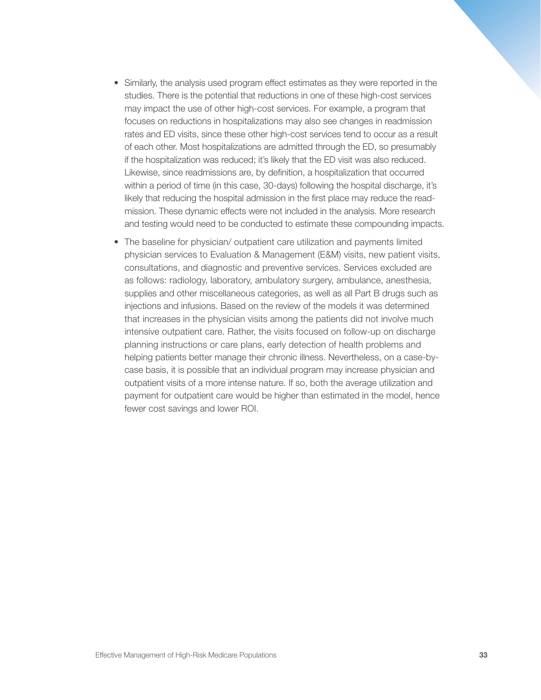- Similarly, the analysis used program effect estimates as they were reported in the studies. There is the potential that reductions in one of these high-cost services may impact the use of other high-cost services. For example, a program that focuses on reductions in hospitalizations may also see changes in readmission rates and ED visits, since these other high-cost services tend to occur as a result of each other. Most hospitalizations are admitted through the ED, so presumably if the hospitalization was reduced; it's likely that the ED visit was also reduced. Likewise, since readmissions are, by definition, a hospitalization that occurred within a period of time (in this case, 30-days) following the hospital discharge, it's likely that reducing the hospital admission in the first place may reduce the readmission. These dynamic effects were not included in the analysis. More research and testing would need to be conducted to estimate these compounding impacts.
- The baseline for physician/ outpatient care utilization and payments limited physician services to Evaluation & Management (E&M) visits, new patient visits, consultations, and diagnostic and preventive services. Services excluded are as follows: radiology, laboratory, ambulatory surgery, ambulance, anesthesia, supplies and other miscellaneous categories, as well as all Part B drugs such as injections and infusions. Based on the review of the models it was determined that increases in the physician visits among the patients did not involve much intensive outpatient care. Rather, the visits focused on follow-up on discharge planning instructions or care plans, early detection of health problems and helping patients better manage their chronic illness. Nevertheless, on a case-bycase basis, it is possible that an individual program may increase physician and outpatient visits of a more intense nature. If so, both the average utilization and payment for outpatient care would be higher than estimated in the model, hence fewer cost savings and lower ROI.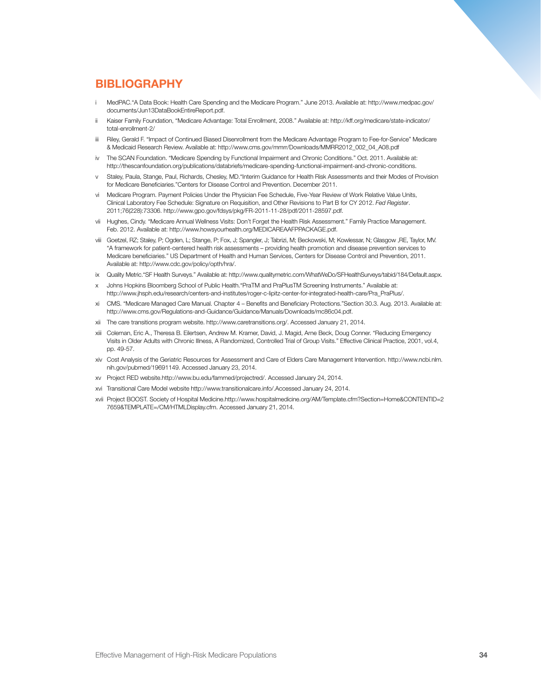# **BIBLIOGRAPHY**

- i MedPAC."A Data Book: Health Care Spending and the Medicare Program." June 2013. Available at: http://www.medpac.gov/ documents/Jun13DataBookEntireReport.pdf.
- ii Kaiser Family Foundation, "Medicare Advantage: Total Enrollment, 2008." Available at: http://kff.org/medicare/state-indicator/ total-enrollment-2/
- iii Riley, Gerald F. "Impact of Continued Biased Disenrollment from the Medicare Advantage Program to Fee-for-Service" Medicare & Medicaid Research Review. Available at: http://www.cms.gov/mmrr/Downloads/MMRR2012\_002\_04\_A08.pdf
- iv The SCAN Foundation. "Medicare Spending by Functional Impairment and Chronic Conditions." Oct. 2011. Available at: http://thescanfoundation.org/publications/databriefs/medicare-spending-functional-impairment-and-chronic-conditions.
- v Staley, Paula, Stange, Paul, Richards, Chesley, MD."Interim Guidance for Health Risk Assessments and their Modes of Provision for Medicare Beneficiaries."Centers for Disease Control and Prevention. December 2011.
- vi Medicare Program. Payment Policies Under the Physician Fee Schedule, Five-Year Review of Work Relative Value Units, Clinical Laboratory Fee Schedule: Signature on Requisition, and Other Revisions to Part B for CY 2012. *Fed Register*. 2011;76(228):73306. http://www.gpo.gov/fdsys/pkg/FR-2011-11-28/pdf/2011-28597.pdf.
- vii Hughes, Cindy. "Medicare Annual Wellness Visits: Don't Forget the Health Risk Assessment." Family Practice Management. Feb. 2012. Available at: http://www.howsyourhealth.org/MEDICAREAAFPPACKAGE.pdf.
- viii Goetzel, RZ; Staley, P; Ogden, L; Stange, P; Fox, J; Spangler, J; Tabrizi, M; Beckowski, M; Kowlessar, N; Glasgow ,RE, Taylor, MV. "A framework for patient-centered health risk assessments – providing health promotion and disease prevention services to Medicare beneficiaries." US Department of Health and Human Services, Centers for Disease Control and Prevention, 2011. Available at: http://www.cdc.gov/policy/opth/hra/.
- ix Quality Metric."SF Health Surveys." Available at: http://www.qualitymetric.com/WhatWeDo/SFHealthSurveys/tabid/184/Default.aspx.
- x Johns Hopkins Bloomberg School of Public Health."PraTM and PraPlusTM Screening Instruments." Available at: http://www.jhsph.edu/research/centers-and-institutes/roger-c-lipitz-center-for-integrated-health-care/Pra\_PraPlus/.
- xi CMS. "Medicare Managed Care Manual. Chapter 4 Benefits and Beneficiary Protections."Section 30.3. Aug. 2013. Available at: http://www.cms.gov/Regulations-and-Guidance/Guidance/Manuals/Downloads/mc86c04.pdf.
- xii The care transitions program website. http://www.caretransitions.org/. Accessed January 21, 2014.
- xiii Coleman, Eric A., Theresa B. Eilertsen, Andrew M. Kramer, David, J. Magid, Arne Beck, Doug Conner. "Reducing Emergency Visits in Older Adults with Chronic Illness, A Randomized, Controlled Trial of Group Visits." Effective Clinical Practice, 2001, vol.4, pp. 49-57.
- xiv Cost Analysis of the Geriatric Resources for Assessment and Care of Elders Care Management Intervention. http://www.ncbi.nlm. nih.gov/pubmed/19691149. Accessed January 23, 2014.
- xv Project RED website.http://www.bu.edu/fammed/projectred/. Accessed January 24, 2014.
- xvi Transitional Care Model website http://www.transitionalcare.info/.Accessed January 24, 2014.
- xvii Project BOOST. Society of Hospital Medicine.http://www.hospitalmedicine.org/AM/Template.cfm?Section=Home&CONTENTID=2 7659&TEMPLATE=/CM/HTMLDisplay.cfm. Accessed January 21, 2014.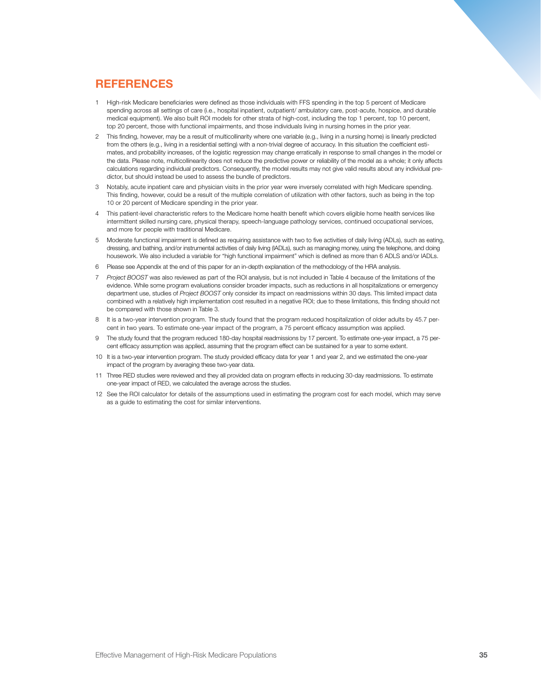# **REFERENCES**

- 1 High-risk Medicare beneficiaries were defined as those individuals with FFS spending in the top 5 percent of Medicare spending across all settings of care (i.e., hospital inpatient, outpatient/ ambulatory care, post-acute, hospice, and durable medical equipment). We also built ROI models for other strata of high-cost, including the top 1 percent, top 10 percent, top 20 percent, those with functional impairments, and those individuals living in nursing homes in the prior year.
- 2 This finding, however, may be a result of multicollinarity where one variable (e.g., living in a nursing home) is linearly predicted from the others (e.g., living in a residential setting) with a non-trivial degree of accuracy. In this situation the coefficient estimates, and probability increases, of the logistic regression may change erratically in response to small changes in the model or the data. Please note, multicollinearity does not reduce the predictive power or reliability of the model as a whole; it only affects calculations regarding individual predictors. Consequently, the model results may not give valid results about any individual predictor, but should instead be used to assess the bundle of predictors.
- 3 Notably, acute inpatient care and physician visits in the prior year were inversely correlated with high Medicare spending. This finding, however, could be a result of the multiple correlation of utilization with other factors, such as being in the top 10 or 20 percent of Medicare spending in the prior year.
- 4 This patient-level characteristic refers to the Medicare home health benefit which covers eligible home health services like intermittent skilled nursing care, physical therapy, speech-language pathology services, continued occupational services, and more for people with traditional Medicare.
- 5 Moderate functional impairment is defined as requiring assistance with two to five activities of daily living (ADLs), such as eating, dressing, and bathing, and/or instrumental activities of daily living (IADLs), such as managing money, using the telephone, and doing housework. We also included a variable for "high functional impairment" which is defined as more than 6 ADLS and/or IADLs.
- 6 Please see Appendix at the end of this paper for an in-depth explanation of the methodology of the HRA analysis.
- 7 *Project BOOST* was also reviewed as part of the ROI analysis, but is not included in Table 4 because of the limitations of the evidence. While some program evaluations consider broader impacts, such as reductions in all hospitalizations or emergency department use, studies of *Project BOOST* only consider its impact on readmissions within 30 days. This limited impact data combined with a relatively high implementation cost resulted in a negative ROI; due to these limitations, this finding should not be compared with those shown in Table 3.
- 8 It is a two-year intervention program. The study found that the program reduced hospitalization of older adults by 45.7 percent in two years. To estimate one-year impact of the program, a 75 percent efficacy assumption was applied.
- 9 The study found that the program reduced 180-day hospital readmissions by 17 percent. To estimate one-year impact, a 75 percent efficacy assumption was applied, assuming that the program effect can be sustained for a year to some extent.
- 10 It is a two-year intervention program. The study provided efficacy data for year 1 and year 2, and we estimated the one-year impact of the program by averaging these two-year data.
- 11 Three RED studies were reviewed and they all provided data on program effects in reducing 30-day readmissions. To estimate one-year impact of RED, we calculated the average across the studies.
- 12 See the ROI calculator for details of the assumptions used in estimating the program cost for each model, which may serve as a guide to estimating the cost for similar interventions.